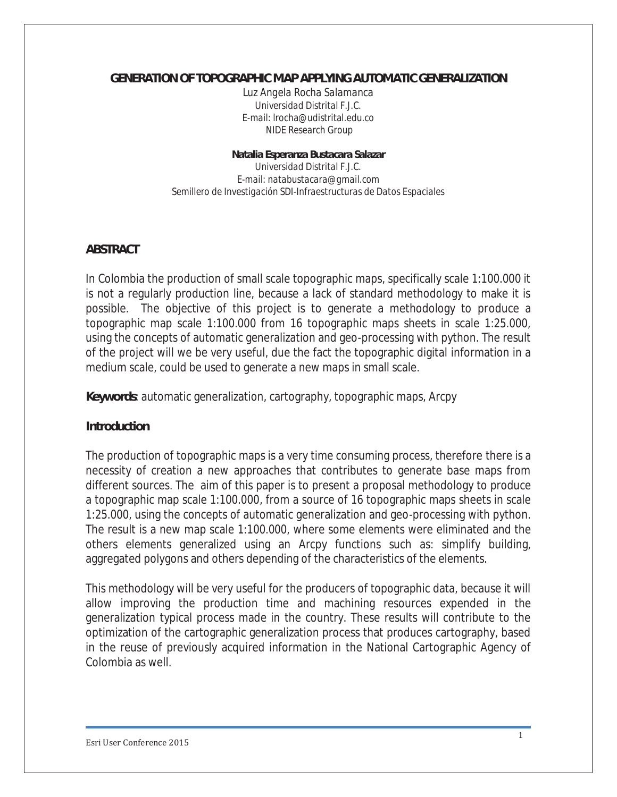#### *GENERATION OF TOPOGRAPHIC* **MAP** *APPLYING AUTOMATIC GENERALIZATION*

*Luz Angela Rocha Salamanca Universidad Distrital F.J.C. E-mail:* lrocha@udistrital.edu.co  *NIDE Research Group* 

#### *Natalia Esperanza Bustacara Salazar*

*Universidad Distrital F.J.C. E-mail: natabustacara@gmail.com Semillero de Investigación SDI-Infraestructuras de Datos Espaciales* 

### **ABSTRACT**

In Colombia the production of small scale topographic maps, specifically scale 1:100.000 it is not a regularly production line, because a lack of standard methodology to make it is possible. The objective of this project is to generate a methodology to produce a topographic map scale 1:100.000 from 16 topographic maps sheets in scale 1:25.000, using the concepts of automatic generalization and geo-processing with python. The result of the project will we be very useful, due the fact the topographic digital information in a medium scale, could be used to generate a new maps in small scale.

**Keywords**: automatic generalization, cartography, topographic maps, Arcpy

#### **Introduction**

The production of topographic maps is a very time consuming process, therefore there is a necessity of creation a new approaches that contributes to generate base maps from different sources. The aim of this paper is to present a proposal methodology to produce a topographic map scale 1:100.000, from a source of 16 topographic maps sheets in scale 1:25.000, using the concepts of automatic generalization and geo-processing with python. The result is a new map scale 1:100.000, where some elements were eliminated and the others elements generalized using an Arcpy functions such as: simplify building, aggregated polygons and others depending of the characteristics of the elements.

This methodology will be very useful for the producers of topographic data, because it will allow improving the production time and machining resources expended in the generalization typical process made in the country. These results will contribute to the optimization of the cartographic generalization process that produces cartography, based in the reuse of previously acquired information in the National Cartographic Agency of Colombia as well.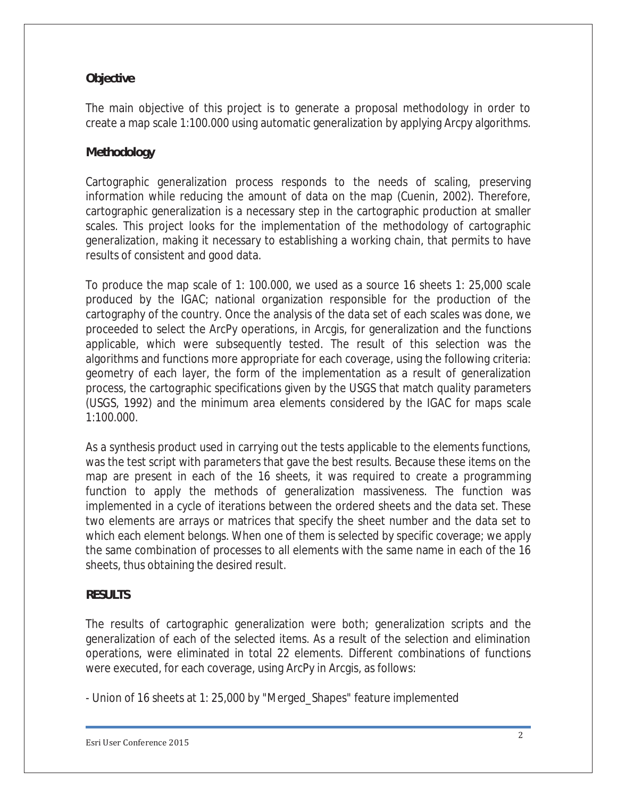## **Objective**

The main objective of this project is to generate a proposal methodology in order to create a map scale 1:100.000 using automatic generalization by applying Arcpy algorithms.

## **Methodology**

Cartographic generalization process responds to the needs of scaling, preserving information while reducing the amount of data on the map (Cuenin, 2002). Therefore, cartographic generalization is a necessary step in the cartographic production at smaller scales. This project looks for the implementation of the methodology of cartographic generalization, making it necessary to establishing a working chain, that permits to have results of consistent and good data.

To produce the map scale of 1: 100.000, we used as a source 16 sheets 1: 25,000 scale produced by the IGAC; national organization responsible for the production of the cartography of the country. Once the analysis of the data set of each scales was done, we proceeded to select the ArcPy operations, in Arcgis, for generalization and the functions applicable, which were subsequently tested. The result of this selection was the algorithms and functions more appropriate for each coverage, using the following criteria: geometry of each layer, the form of the implementation as a result of generalization process, the cartographic specifications given by the USGS that match quality parameters (USGS, 1992) and the minimum area elements considered by the IGAC for maps scale 1:100.000.

As a synthesis product used in carrying out the tests applicable to the elements functions, was the test script with parameters that gave the best results. Because these items on the map are present in each of the 16 sheets, it was required to create a programming function to apply the methods of generalization massiveness. The function was implemented in a cycle of iterations between the ordered sheets and the data set. These two elements are arrays or matrices that specify the sheet number and the data set to which each element belongs. When one of them is selected by specific coverage; we apply the same combination of processes to all elements with the same name in each of the 16 sheets, thus obtaining the desired result.

### **RESULTS**

The results of cartographic generalization were both; generalization scripts and the generalization of each of the selected items. As a result of the selection and elimination operations, were eliminated in total 22 elements. Different combinations of functions were executed, for each coverage, using ArcPy in Arcgis, as follows:

- Union of 16 sheets at 1: 25,000 by "Merged\_Shapes" feature implemented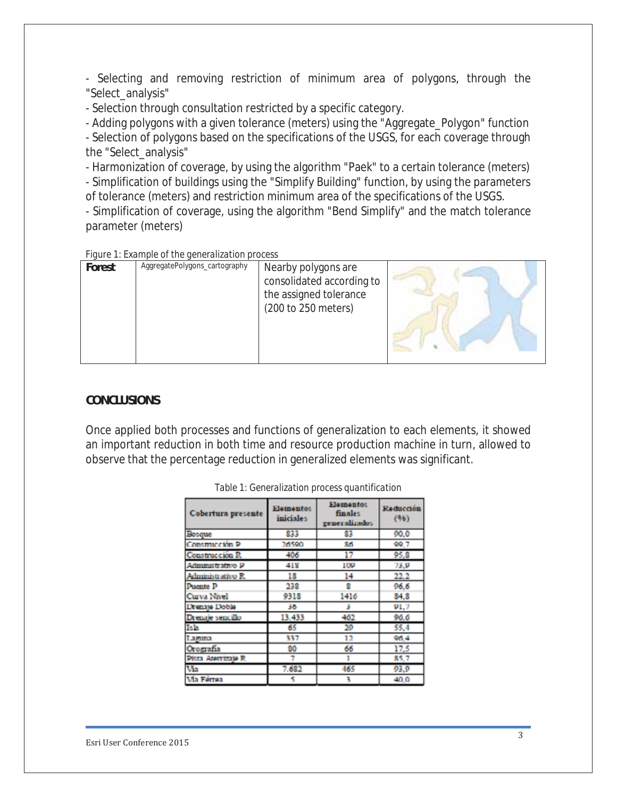- Selecting and removing restriction of minimum area of polygons, through the "Select\_analysis"

- Selection through consultation restricted by a specific category.

- Adding polygons with a given tolerance (meters) using the "Aggregate\_Polygon" function

- Selection of polygons based on the specifications of the USGS, for each coverage through the "Select\_analysis"

- Harmonization of coverage, by using the algorithm "Paek" to a certain tolerance (meters) - Simplification of buildings using the "Simplify Building" function, by using the parameters of tolerance (meters) and restriction minimum area of the specifications of the USGS.

- Simplification of coverage, using the algorithm "Bend Simplify" and the match tolerance parameter (meters)

*Figure 1: Example of the generalization process* 

| Forest | AggregatePolygons_cartography | Nearby polygons are<br>consolidated according to<br>the assigned tolerance<br>(200 to 250 meters) |  |
|--------|-------------------------------|---------------------------------------------------------------------------------------------------|--|
|--------|-------------------------------|---------------------------------------------------------------------------------------------------|--|

## **CONCLUSIONS**

Once applied both processes and functions of generalization to each elements, it showed an important reduction in both time and resource production machine in turn, allowed to observe that the percentage reduction in generalized elements was significant.

| Cobertura presente  | <b>Elementos</b><br><b>Hementos</b><br><b>finales</b><br>iniciales<br>generalizados |      | Reducción<br>(96) |
|---------------------|-------------------------------------------------------------------------------------|------|-------------------|
| Bosque              | 833                                                                                 | 83   | 90.0              |
| Construcción P      | 26590                                                                               | 86   | 99.7              |
| Construcción R.     | 406                                                                                 | 17   | 95.8              |
| Administrativo P    | 418                                                                                 | 109  | 73.9              |
| Administrativo R    | 18                                                                                  | 14   | 22.2              |
| Puente P            | 238                                                                                 | g    | 96.6              |
| Curva Nivel         | 9318                                                                                | 1416 | 84.8              |
| Drenaje Doble       | 36                                                                                  | 3    | 91.7              |
| Drenaje sencillo    | 13.433                                                                              | 462  | 96.6              |
| Isla                | 65                                                                                  | 20   | 55.4              |
| Laguna              | 337                                                                                 | 12   | 06.4              |
| Orografia           | 90                                                                                  | 66   | 17.5              |
| Pista Aterrizaje R. |                                                                                     | 1    | 85.7              |
| Via                 | 7.682                                                                               | 465  | 93.9              |
| <b>Ma Férrea</b>    |                                                                                     | ٦    | 40.0              |

|  |  |  |  | Table 1: Generalization process quantification |
|--|--|--|--|------------------------------------------------|
|--|--|--|--|------------------------------------------------|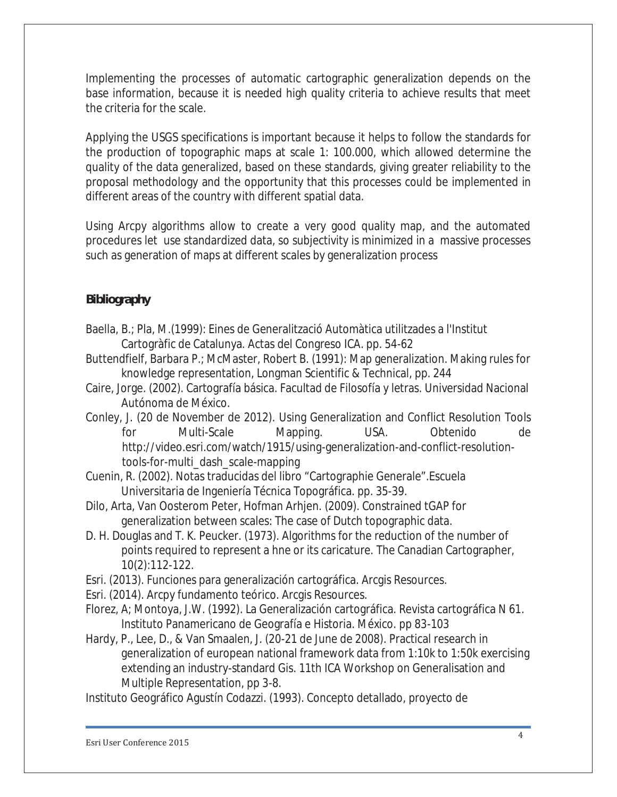Implementing the processes of automatic cartographic generalization depends on the base information, because it is needed high quality criteria to achieve results that meet the criteria for the scale.

Applying the USGS specifications is important because it helps to follow the standards for the production of topographic maps at scale 1: 100.000, which allowed determine the quality of the data generalized, based on these standards, giving greater reliability to the proposal methodology and the opportunity that this processes could be implemented in different areas of the country with different spatial data.

Using Arcpy algorithms allow to create a very good quality map, and the automated procedures let use standardized data, so subjectivity is minimized in a massive processes such as generation of maps at different scales by generalization process

# **Bibliography**

- Baella, B.; Pla, M.(1999): Eines de Generalització Automàtica utilitzades a l'Institut Cartogràfic de Catalunya. Actas del Congreso ICA. pp. 54-62
- Buttendfielf, Barbara P.; McMaster, Robert B. (1991): Map generalization. Making rules for knowledge representation, Longman Scientific & Technical, pp. 244
- Caire, Jorge. (2002). Cartografía básica. Facultad de Filosofía y letras. Universidad Nacional Autónoma de México.
- Conley, J. (20 de November de 2012). Using Generalization and Conflict Resolution Tools for Multi-Scale Mapping. USA. Obtenido de http://video.esri.com/watch/1915/using-generalization-and-conflict-resolutiontools-for-multi\_dash\_scale-mapping
- Cuenin, R. (2002). Notas traducidas del libro "Cartographie Generale".Escuela Universitaria de Ingeniería Técnica Topográfica. pp. 35-39.
- Dilo, Arta, Van Oosterom Peter, Hofman Arhjen. (2009). Constrained tGAP for generalization between scales: The case of Dutch topographic data.
- D. H. Douglas and T. K. Peucker. (1973). Algorithms for the reduction of the number of points required to represent a hne or its caricature. The Canadian Cartographer, 10(2):112-122.
- Esri. (2013). Funciones para generalización cartográfica. Arcgis Resources.

Esri. (2014). Arcpy fundamento teórico. Arcgis Resources.

- Florez, A; Montoya, J.W. (1992). La Generalización cartográfica. Revista cartográfica N 61. Instituto Panamericano de Geografía e Historia. México. pp 83-103
- Hardy, P., Lee, D., & Van Smaalen, J. (20-21 de June de 2008). Practical research in generalization of european national framework data from 1:10k to 1:50k exercising extending an industry-standard Gis. 11th ICA Workshop on Generalisation and Multiple Representation, pp 3-8.

Instituto Geográfico Agustín Codazzi. (1993). Concepto detallado, proyecto de